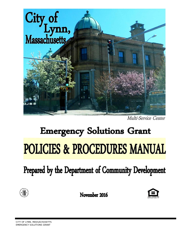

Multi-Service Center

# **Emergency Solutions Grant POLICIES & PROCEDURES MANUAL**

Prepared by the Department of Community Development



November 2016

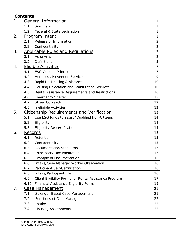# **Contents**

| 1. | <b>General Information</b>                       |                                                        |                |
|----|--------------------------------------------------|--------------------------------------------------------|----------------|
|    | 1.1                                              | 1                                                      |                |
|    | 1.2                                              | Federal & State Legislation                            | 1              |
| 2. | <u>Program Intent</u>                            | 1                                                      |                |
|    | 2.1                                              | Release of Information                                 | $\overline{2}$ |
|    | 2.2                                              | Confidentiality                                        | $\overline{2}$ |
| 3. |                                                  | <u> Applicable Rules and Requlations</u>               | $\overline{2}$ |
|    | 3.1                                              | Acronyms                                               | $\overline{2}$ |
|    | 3.2                                              | Definitions                                            | 3              |
| 4. | <b>Eligible Activities</b>                       |                                                        | $\overline{7}$ |
|    | 4.1                                              | <b>ESG General Principles</b>                          | 7              |
|    | 4.2                                              | <b>Homeless Prevention Services</b>                    | 9              |
|    | 4.3                                              | Rapid Re-Housing Assistance                            | 10             |
|    | 4.4                                              | Housing Relocation and Stabilization Services          | 10             |
|    | 4.5                                              | Rental Assistance Requirements and Restrictions        | 10             |
|    | 4.6                                              | <b>Emergency Shelter</b>                               | 12             |
|    | 4.7                                              | <b>Street Outreach</b>                                 | 12             |
|    | 4.8                                              | Ineligible Activities                                  | 12             |
| 5. | <b>Citizenship Requirements and Verification</b> | 13                                                     |                |
|    | 5.1                                              | Use ESG funds to assist "Qualified Non-Citizens"       | 14             |
|    | 5.2                                              | Eligibility                                            | 14             |
|    | 5.3                                              | <b>Eligibility Re-certification</b>                    | 14             |
| 6. | Records                                          |                                                        | 15             |
|    | 6.1                                              | Retention                                              | 15             |
|    | 6.2                                              | Confidentiality                                        | 15             |
|    | 6.3                                              | <b>Documentation Standards</b>                         | 15             |
|    | 6.4                                              | <b>Third-party Documentation</b>                       | 15             |
|    | 6.5                                              | <b>Example of Documentation</b>                        | 16             |
|    | 6.6                                              | Intake/Case Manager Worker Observation                 | 16             |
|    | 6.7                                              | Participant Self-Certification                         | 16             |
|    | 6.8                                              | Intake/Participant File                                | 16             |
|    | 6.9                                              | Client Eligibility Forms for Rental Assistance Program | 17             |
|    | 6.10                                             | Financial Assistance Eligibility Forms                 | 19             |
| 7. |                                                  | Case Management                                        | 21             |
|    | 7.1                                              | Strength-Based Case Management                         | 21             |
|    | 7.2                                              | <b>Functions of Case Management</b>                    | 22             |
|    | 7.3                                              | Intake                                                 | 22             |
|    | 7.4                                              | <b>Housing Assessments</b>                             | 22             |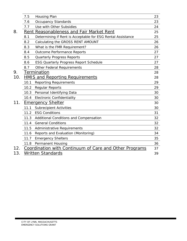|     | 7.5                            | Housing Plan                                                | 23 |
|-----|--------------------------------|-------------------------------------------------------------|----|
|     | 7.6                            | <b>Occupancy Standards</b>                                  | 23 |
|     | 7.7                            | Use with Other Subsidies                                    | 24 |
| 8.  | Rent                           | Reasonableness and Fair Market Rent                         | 25 |
|     | 8.1                            | Determining if Rent is Acceptable for ESG Rental Assistance | 25 |
|     | 8.2                            | Calculating the GROSS RENT AMOUNT                           | 26 |
|     | 8.3                            | What is the FMR Requirement?                                | 26 |
|     | 8.4                            | <b>Outcome Performance Reports</b>                          | 27 |
|     | 8.5                            | <b>Quarterly Progress Reports</b>                           | 27 |
|     | 8.6                            | <b>ESG Quarterly Progress Report Schedule</b>               | 27 |
|     | 8.7                            | <b>Other Federal Requirements</b>                           | 28 |
| 9.  |                                | Termination                                                 | 28 |
| 10. |                                | <b>HMIS and Reporting Requirements</b>                      | 28 |
|     | 10.1                           | <b>Reporting Requirements</b>                               | 29 |
|     | 10.2                           | <b>Regular Reports</b>                                      | 29 |
|     | 10.3                           | Personal Identifying Data                                   | 30 |
|     | 10.4                           | <b>Electronic Confidentiality</b>                           | 30 |
| 11. | <b>Emergency Shelter</b>       |                                                             |    |
|     | 11.1                           | <b>Subrecipient Activities</b>                              | 30 |
|     | 11.2                           | <b>ESG Conditions</b>                                       | 31 |
|     | 11.3                           | Additional Conditions and Compensation                      | 32 |
|     | 11.4                           | <b>General Conditions</b>                                   | 32 |
|     |                                | 11.5 Administrative Requirements                            | 32 |
|     | 11.6                           | Reports and Evaluation (Monitoring)                         | 34 |
|     | 11.7                           | <b>Emergency Shelters</b>                                   | 35 |
|     | 11.8                           | Permanent Housing                                           | 36 |
| 12. |                                | Coordination with Continuum of Care and Other Programs      | 37 |
| 13. | <b>Written Standards</b><br>39 |                                                             |    |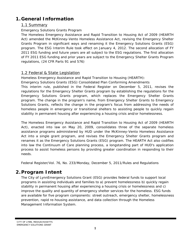# **1.General Information**

## 1.1 Summary

#### Emergency Solutions Grants Program

The Homeless Emergency Assistance and Rapid Transition to Housing Act of 2009 (HEARTH Act) amended the McKinney-Vento Homeless Assistance Act, revising the Emergency Shelter Grants Program in significant ways and renaming it the Emergency Solutions Grants (ESG) program. The ESG Interim Rule took effect on January 4, 2012. The second allocation of FY 2011 ESG funding and future years are all subject to the ESG regulations. The first allocation of FY 2011 ESG funding and prior years are subject to the Emergency Shelter Grants Program regulations, (24 CFR Parts 91 and 576)

# 1.2 Federal & State Legislation

Homeless Emergency Assistance and Rapid Transition to Housing (HEARTH):

Emergency Solutions Grants (ESG) Consolidated Plan Conforming Amendments

This interim rule, published in the Federal Register on December 5, 2011, revises the regulations for the Emergency Shelter Grants program by establishing the regulations for the Emergency Solutions Grants program, which replaces the Emergency Shelter Grants program. The change in the program's name, from Emergency Shelter Grants to Emergency Solutions Grants, reflects the change in the program's focus from addressing the needs of homeless people in emergency or transitional shelters to assisting people to quickly regain stability in permanent housing after experiencing a housing crisis and/or homelessness.

The Homeless Emergency Assistance and Rapid Transition to Housing Act of 2009 (HEARTH Act), enacted into law on May 20, 2009, consolidates three of the separate homeless assistance programs administered by HUD under the McKinney-Vento Homeless Assistance Act into a single grant program, and revises the Emergency Shelter Grants program and renames it as the Emergency Solutions Grants (ESG) program. The HEARTH Act also codifies into law the Continuum of Care planning process, a longstanding part of HUD's application process to assist homeless persons by providing greater coordination in responding to their needs.

Federal Register/Vol. 76, No. 233/Monday, December 5, 2011/Rules and Regulations

# **2.Program Intent**

The City of LynnEmergency Solutions Grant (ESG) provides federal funds to support local programs in assisting individuals and families to a) prevent homelessness b) quickly regain stability in permanent housing after experiencing a housing crisis or homelessness and c) improve the quality and quantity of emergency shelter services for the homeless. ESG funds are available for five program components: street outreach, emergency shelter, homelessness prevention, rapid re-housing assistance, and data collection through the Homeless Management Information System.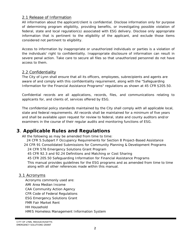#### 2.1 Release of Information

All information about the applicant/client is confidential. Disclose information only for purpose of determining program eligibility, providing benefits, or investigating possible violation of federal, state and local regulation(s) associated with ESG delivery. Disclose only appropriate information that is pertinent to the eligibility of the applicant, and exclude those items considered not pertinent to eligibility.

Access to information by inappropriate or unauthorized individuals or parties is a violation of the individuals' right to confidentiality. Inappropriate disclosure of information can result in severe penal action. Take care to secure all files so that unauthorized personnel do not have access to them.

#### 2.2 Confidentiality

The City of Lynn shall ensure that all its officers, employees, subrecipients and agents are aware of and comply with this confidentiality requirement, along with the *"Safeguarding Information for the Financial Assistance Programs"* regulations as shown at 45 CFR §205.50.

Confidential records are all applications, records, files, and communications relating to applicants for, and clients of, services offered by ESG.

The confidential policy standards maintained by the City shall comply with all applicable local, state and federal requirements. All records shall be maintained for a minimum of five years and shall be available upon request for review to federal, state and county auditors and/or examiners in the course of their regular audits and monitoring functions of ESG.

# **3**. **Applicable Rules and Regulations**

All the following as may be amended from time to time:

24 CFR 5.Subpart F Occupancy Requirements for Section 8 Project-Based Assistance 24 CFR 91 Consolidated Submissions for Community Planning & Development Programs

24 CFR 576 Emergency Solutions Grant Program

45 CFR 92.3 and 92.24 Definitions and Matching or Cost Sharing

45 CFR 205.50 Safeguarding Information for Financial Assistance Programs

This manual provides guidelines for the ESG programs and as amended from time to time along with all other references made within this manual.

# 3.1 Acronyms

Acronyms commonly used are: AMI Area Median Income CAA Community Action Agency CFR Code of Federal Regulations ESG Emergency Solutions Grant FMR Fair Market Rent HH Household HMIS Homeless Management Information System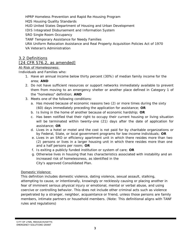HPRP Homeless Prevention and Rapid Re-Housing Program HQS Housing Quality Standards HUD United States Department of Housing and Urban Development IDIS Integrated Disbursement and Information System SRO Single Room Occupancy TANF Temporary Assistance for Needy Families URA Uniform Relocation Assistance and Real Property Acquisition Policies Act of 1970 VA Veteran's Administration

# 3.2 Definitions

# [24 CFR 576.2, as amended]

#### At-Risk of Homelessness:

*Individuals and Families who:* 

- 1. Have an annual income below thirty percent (30%) of median family income for the area; **AND**
- 2. Do not have sufficient resources or support networks immediately available to prevent them from moving to an emergency shelter or another place defined in Category 1 of the "homeless" definition; **AND**
- 3. Meets one of the following conditions:
	- a. Has moved because of economic reasons two (2) or more times during the sixty (60) days immediately preceding the application for assistance; **OR**
	- b. Is living in the home of another because of economic hardship; **OR**
	- c. Has been notified that their right to occupy their current housing or living situation will be terminated within twenty-one (21) days after the date of application for assistance; **OR**
	- d. Lives in a hotel or motel and the cost is not paid for by charitable organizations or by Federal, State, or local government programs for low-income individuals; **OR**
	- e. Lives in an SRO or efficiency apartment unit in which there resides more than two (2) persons or lives in a larger housing unit in which there resides more than one and a half persons per room; **OR**
	- f. Is exiting a publicly funded institution or system of care; **OR**
	- g. Otherwise lives in housing that has characteristics associated with instability and an increased risk of homelessness, as identified in the City's approved Consolidated Plan.

#### Domestic Violence:

This definition includes domestic violence, dating violence, sexual assault, stalking, attempting to cause, or intentionally, knowingly or recklessly causing or placing another in fear of imminent serious physical injury or emotional, mental or verbal abuse, and using coercive or controlling behavior. This does not include other criminal acts such as violence perpetrated by a stranger, neighbor, acquaintance or friend, unless those persons are family members, intimate partners or household members. (Note: This definitional aligns with TANF rules and regulations)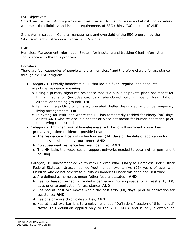#### ESG Objectives:

Objectives for the ESG programs shall mean benefit to the homeless and at risk for homeless who meet the eligibility and income requirements of ESG (thirty (30) percent of AMI)

Grant Administration: General management and oversight of the ESG program by the City. Grant administration is capped at 7.5% of all ESG funding.

#### HMIS:

Homeless Management Information System for inputting and tracking Client Information in compliance with the ESG program.

#### Homeless:

There are four categories of people who are "homeless" and therefore eligible for assistance through the ESG program:

- 1. Category 1: Literally homeless: a HH that lacks a fixed, regular, and adequate nighttime residence, meaning:
	- a. Using a primary nighttime residence that is a public or private place not meant for human habitation (includes car, park, abandoned building, bus or train station, airport, or camping ground); **OR**
	- b. Is living in a publicly or privately operated shelter designated to provide temporary living arrangements; **OR**
	- c. Is exiting an institution where the HH has temporarily resided for ninety (90) days or less **AND** who resided in a shelter or place not meant for human habitation prior to entering the institution.
- 2. Category 2: Imminent risk of homelessness: a HH who will imminently lose their primary nighttime residence, provided that:
	- a. The residence will be lost within fourteen (14) days of the date of application for homeless assistance by court order; **AND**
	- b. No subsequent residence has been identified; **AND**
	- c. The HH lacks the resources or support networks needed to obtain other permanent housing.
- 3. Category 3: Unaccompanied Youth with Children Who Qualify as Homeless under Other Federal Statutes: Unaccompanied Youth under twenty-five (25) years of age, with Children who do not otherwise qualify as homeless under this definition, but who:
	- a. Are defined as homeless under "other federal statutes"; **AND**
	- b. Has not leased, owned, or rented a permanent housing space for at least sixty (60) days prior to application for assistance; **AND**
	- c. Has had at least two moves within the past sixty (60) days, prior to application for assistance; **AND**
	- d. Has one or more chronic disabilities, **AND**
	- e. Has at least two barriers to employment (see "Definitions" section of this manual) **Note:** This definition applied only to the 2011 NOFA and is only allowable on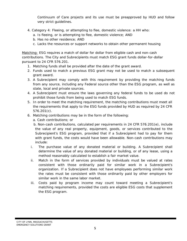Continuum of Care projects and its use must be preapproved by HUD and follow very strict guidelines.

- 4. Category 4: Fleeing, or attempting to flee, domestic violence: a HH who:
	- a. Is fleeing, or is attempting to flee, domestic violence; AND
	- b. Has no other residence; AND
	- c. Lacks the resources or support networks to obtain other permanent housing

Matching: ESG requires a match of dollar for dollar from eligible cash and non-cash contributions. The City and Subrecipients must match ESG grant funds dollar-for-dollar pursuant to 24 CFR 576.201.

- 1. Matching funds shall be provided after the date of the grant award.
- 2. Funds used to match a previous ESG grant may not be used to match a subsequent grant award.
- 3. A Subrecipient may comply with this requirement by providing the matching funds from any source, including any Federal source other than the ESG program, as well as state, local and private sources.
- 4. A Subrecipient must ensure the laws governing any federal funds to be used do not prohibit those funds from being used to match ESG funds.
- 5. In order to meet the matching requirement, the matching contributions must meet all the requirements that apply to the ESG funds provided by HUD as required by 24 CFR 576.201(c).
- 6. Matching contributions may be in the form of the following:
	- a. Cash contributions; or

b. Non-cash contributions, calculated per requirements in 24 CFR 576.201(e), include the value of any real property, equipment, goods, or services contributed to the Subrecipient's ESG program, provided that if a Subrecipient had to pay for them with grant funds, the costs would have been allowable. Non-cash contributions may include:

- i. The purchase value of any donated material or building. A Subrecipient shall determine the value of any donated material or building, or of any lease, using a method reasonably calculated to establish a fair market value.
- ii. Match in the form of services provided by individuals must be valued at rates consistent with those ordinarily paid for similar work in a Subrecipient's organization. If a Subrecipient does not have employees performing similar work the rates must be consistent with those ordinarily paid by other employers for similar work in the same labor market.
- iii. Costs paid by program income may count toward meeting a Subrecipient's matching requirements, provided the costs are eligible ESG costs that supplement the ESG program.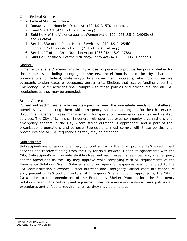Other Federal Statutes:

Other Federal Statutes include:

- 1. Runaway and Homeless Youth Act (42 U.S.C. 5701 et seq.),
- 2. Head Start Act (42 U.S.C. 9831 et seq.),
- 3. Subtitle N of the Violence against Women Act of 1994 (42 U.S.C. 14043e et seq.) (VAWA),
- 4. Section 330 of the Public Health Service Act (42 U.S.C. 254b),
- 5. Food and Nutrition Act of 2008 (7 U.S.C. 2011 et seq.),
- 6. Section 17 of the Child Nutrition Act of 1966 (42 U.S.C. 1786), and
- 7. Subtitle B of title VII of the McKinney-Vento Act (42 U.S.C. 11431 et seq.)

#### Shelter:

"Emergency shelter," means any facility whose purpose is to provide temporary shelter for the homeless including congregate shelters, hotels/motels paid for by charitable organizations, or federal, state and/or local government programs, which do not require occupants to sign leases or occupancy agreements. Shelters that receive funding under the Emergency Shelter activities shall comply with these policies and procedures and all ESG regulations as they may be amended.

#### Street Outreach:

"Street outreach" means activities designed to meet the immediate needs of unsheltered homeless by connecting them with emergency shelter, housing and/or health services through engagement, case management, transportation, emergency services and related services. The City of Lynn shall in general rely upon approved community organizations and emergency shelters in the City where street outreach is appropriate and a part of the organization's operations and purpose. Subrecipients must comply with these policies and procedures and all ESG regulations as they may be amended.

#### Subrecipient:

Subrecipientsare organizations that, by contract with the City, provide ESG direct client services and receive funding from the City for said services. Under its agreements with the City, Subrecipient's will provide eligible street outreach, essential services and/or emergency shelter operations as the City may approve while complying with all requirements of the Emergency Solutions Grant. Salaries and other operation expenses are not subject to the ESG administration allowance. Street outreach and Emergency Shelter costs are capped at sixty percent of ESG cost or the total of Emergency Shelter funding approved by the City in 2010 prior to the amendment of the Emergency Shelter Program into the Emergency Solutions Grant. The Subrecipient agreement shall reference and enforce these policies and procedures and al federal requirements, as they may be amended.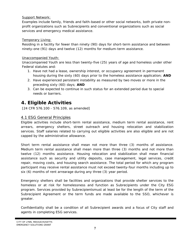#### Support Network:

Examples include family, friends and faith-based or other social networks, both private nonprofit organizations such as Subrecipients and conventional organizations such as social services and emergency medical assistance.

#### Temporary Living:

Residing in a facility for fewer than ninety (90) days for short-term assistance and between ninety-one (91) days and twelve (12) months for medium-term assistance.

#### Unaccompanied Youth:

Unaccompanied Youth are less than twenty-five (25) years of age and homeless under other Federal statutes and:

- 1. Have not had a lease, ownership interest, or occupancy agreement in permanent housing during the sixty (60) days prior to the homeless assistance application; **AND**
- 2. Have experienced persistent instability as measured by two moves or more in the preceding sixty (60) days; **AND**
- 3. Can be expected to continue in such status for an extended period due to special needs or barriers.

# **4. Eligible Activities**

[24 CFR 576.100 - 576.109, as amended]

# 4.1 ESG General Principles

Eligible activities include short-term rental assistance, medium term rental assistance, rent arrears, emergency shelters, street outreach and housing relocation and stabilization services. Staff salaries related to carrying out eligible activities are also eligible and are not capped by the administrative allowance.

Short term rental assistance shall mean not more than three (3) months of assistance. Medium term rental assistance shall mean more than three (3) months and not more than twelve (12) months assistance. Housing relocation and stabilization shall mean financial assistance such as security and utility deposits, case management, legal services, credit repair, moving costs, and housing search assistance. The total period for which any program participant may receive rental assistance must not exceed twenty-four months including up to six (6) months of rent arrearage during any three (3) year period.

Emergency shelters shall be facilities and organizations that provide shelter services to the homeless or at risk for homelessness and function as Subrecipients under the City ESG program. Services provided by Subrecipientsmust at least be for the length of the term of the Subrecipient Agreement or the term funds are made available to the SSO, whichever is greater.

Confidentiality shall be a condition of all Subrecipient awards and a focus of City staff and agents in completing ESG services.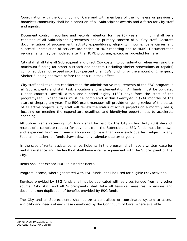Coordination with the Continuum of Care and with members of the homeless or previously homeless community shall be a condition of all Subrecipient awards and a focus for City staff and agents.

Document control, reporting and records retention for five (5) years minimum shall be a condition of all Subrecipient agreements and a primary concern of all City staff. Accurate documentation of procurement, activity expenditures, eligibility, income, beneficiaries and successful completion of services are critical to HUD reporting and to HMIS. Documentation requirements may be modeled after the HOME program, except as provided for herein.

City staff shall take all Subrecipient and direct City costs into consideration when verifying the maximum funding for street outreach and shelters (including shelter renovations or repairs) combined does not exceed sixty (60) percent of all ESG funding, or the amount of Emergency Shelter Funding approved before the new rule took effect.

City staff shall take into consideration the administrative requirements of the ESG program in all Subrecipients and staff task allocation and implementation. All funds must be obligated (under contract, award) within one-hundred eighty (180) days from the start of the programyear. Expenditures must be completed within twenty-four (24) months of the start of theprogram year. The ESG grant manager will provide on-going review of the status of all active projects. City staff will review the status of active projects on a monthly basis; focusing on meeting the expenditure deadlines and identifying opportunities to accelerate spending.

All Subrecipients receiving ESG funds shall be paid by the City within thirty (30) days of receipt of a complete request for payment from the Subrecipient. ESG funds must be drawn and expended from each year's allocation not less than once each quarter, subject to any Federal limitations on funds drawn down any calendar quarter or year.

In the case of rental assistance, all participants in the program shall have a written lease for rental assistance and the landlord shall have a rental agreement with the Subrecipient or the City.

Rents shall not exceed HUD Fair Market Rents.

Program income, where generated with ESG funds, shall be used for eligible ESG activities.

Services provided by ESG funds shall not be duplicated with services funded from any other source. City staff and all Subrecipients shall take all feasible measures to ensure and document non duplication of benefits provided by ESG funds.

The City and all Subrecipients shall utilize a centralized or coordinated system to assess eligibility and needs of each case developed by the Continuum of Care, where available.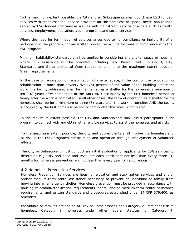To the maximum extent possible, the City and all Subrecipients shall coordinate ESG funded services with other essential service providers for the homeless or special needs populations served by ESG funded programs as well as with mainstream service providers such as health services, employment, education, youth programs and social services.

Where the need for termination of services arises due to noncompliance or ineligibility of a participant in the program, formal written procedures will be followed in compliance with the ESG program.

Minimum habitability standards shall be applied in considering any shelter space or housing where ESG assistance will be provided, including Lead Based Paint, Housing Quality Standards and State and Local Code requirements and to the maximum extent possible Green Improvements.

In the case of renovation or rehabilitation of shelter space, if the cost of the renovation or rehabilitation is more than seventy-five (75) percent of the value of the building before the work, the facility addressed shall be maintained as a shelter for the homeless a minimum of ten (10) years after completion of the work AND occupancy by the first homeless person or family after the work is completed. In all other cases, the term of operation as a shelter for the homeless shall be for a minimum of three (3) years after the work is complete AND the facility is occupied by the first homeless person or family after the work is completed.

To the maximum extent possible, the City and Subrecipients shall assist participants in the program to connect with and obtain other eligible services to assist the homeless and at risk.

To the maximum extent possible, the City and Subrecipients shall involve the homeless and at risk in the ESG programs construction and operation through employment or volunteer efforts.

The City or Subrecipient must conduct an initial evaluation of applicants for ESG services to determine eligibility and need and revaluate each participant not less than every three (3) months for homeless prevention and not less than every year for rapid rehousing.

#### 4.2 Homeless Prevention Services

Homeless Prevention Services are housing relocation and stabilization services and shortand/or medium-term rental assistance necessary to prevent an individual or family from moving into an emergency shelter. Homeless prevention must be provided in accordance with housing relocation/stabilization requirements, short- and/or medium-term rental assistance requirements, and written standards and procedures established under 24 CFR 576.400, as amended.

Individuals or families defined as At-Risk of Homelessness and Category 2, imminent risk of homeless, Category 3, homeless under other federal statutes, or Category 4,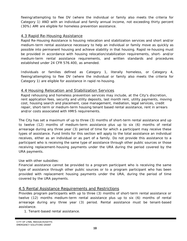fleeing/attempting to flee DV (where the individual or family also meets the criteria for Category 1) AND with an individual and family annual income, not exceeding thirty percent (30%) AMI are eligible for homeless prevention assistance.

#### 4.3 Rapid Re-Housing Assistance

Rapid Re-Housing Assistance is housing relocation and stabilization services and short and/or medium-term rental assistance necessary to help an individual or family move as quickly as possible into permanent housing and achieve stability in that housing. Rapid re-housing must be provided in accordance with housing relocation/stabilization requirements, short- and/or medium-term rental assistance requirements, and written standards and procedures established under 24 CFR 576.400, as amended.

Individuals or families defined as Category 1, literally homeless, or Category 4, fleeing/attempting to flee DV (where the individual or family also meets the criteria for Category 1) are eligible for assistance in rapid re-housing.

#### 4.4 Housing Relocation and Stabilization Services

Rapid rehousing and homeless prevention services may include, at the City's discretion, rent application fees, security and utility deposits, last month rent, utility payments, moving cost, housing search and placement, case management, mediation, legal services, credit repair, short-term or medium-term housing tenant based rental assistance, rent in arrears and/or costs associated with HMIS requirements.

The City has set a maximum of up to three (3) months of short-term rental assistance and up to twelve (12) months of medium-term assistance plus up to six (6) months of rental arrearage during any three year (3) period of time for which a participant may receive these types of assistance. Fund limits for this section will apply to the total assistance an individual receives, either as an individual or as part of a family. Do not provide this assistance to a participant who is receiving the same type of assistance through other public sources or those receiving replacement-housing payments under the URA during the period covered by the URA payments.

Use with other subsidies:

Financial assistance cannot be provided to a program participant who is receiving the same type of assistance through other public sources or to a program participant who has been provided with replacement housing payments under the URA, during the period of time covered by the URA payments.

#### 4.5 Rental Assistance Requirements and Restrictions

Provides program participants with up to three (3) months of short-term rental assistance or twelve (12) months medium-term rental assistance plus up to six (6) months of rental arrearage during any three year (3) period. Rental assistance must be tenant-based assistance.

1. Tenant-based rental assistance.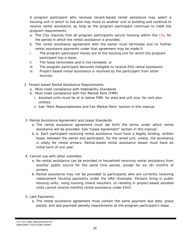A program participant who receives tenant-based rental assistance may select a housing unit in which to live and may move to another unit or building and continue to receive rental assistance, as long as the program participant continues to meet the program requirements.

- a. The City requires that all program participants secure housing within the City for the period in which the rental assistance is provided.
- b. The rental assistance agreement with the owner must terminate and no further rental assistance payments under that agreement may be made if:
- i. The program participant moves out of the housing unit for which the program participant has a lease;
- ii. The lease terminates and is not renewed; or
- iii. The program participant becomes ineligible to receive ESG rental assistance.
- iv. Project-based rental assistance is received by the participant from other sources.
- 2. Tenant-based Rental Assistance Requirements:
	- a. Must meet compliance with Habitability Standards
	- b. Must meet compliance with Fair Market Rent (FMR)
		- i. Assisted units must be at or below FMR, for area and unit size, for rent plus utilities.
		- ii. See "Rent Reasonableness and Fair Market Rent" section in this manual.
- 3. Rental Assistance Agreement and Lease Standards:
	- a. The rental assistance agreement must set forth the terms under which rental assistance will be provided. See "Lease Agreement" section in this manual.
	- b. b. Each participant receiving rental assistance must have a legally binding, written lease, between the owner and participant, for the rental unit, unless, the assistance is solely for rental arrears. Rental-based rental assistance leases must have an initial term of one year.
- 4. Cannot use with other subsidies:
	- a. No rental assistance can be provided to household receiving rental assistance from another public source for the same time period, except for six (6) months of arrears.
	- b. Rental assistance may not be provided to participants who are currently receiving replacement housing payments under the URA (Example: Persons living in public housing units, using housing choice vouchers, or residing in project-based assisted units cannot receive monthly rental assistance under ESG).
- 5. Late Payments:
	- a. The rental assistance agreement must contain the same payment due date, grace period, and late payment penalty requirements as the program participant's lease.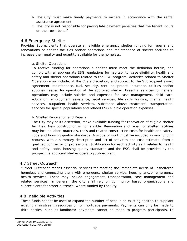- b. The City must make timely payments to owners in accordance with the rental assistance agreement.
- c. The City is not responsible for paying late payment penalties that the tenant incurs on their own behalf.

#### 4.6 Emergency Shelter

Provides Subrecipients that operate an eligible emergency shelter funding for repairs and renovations of shelter facilities and/or operations and maintenance of shelter facilities to increase their quality and quantity available for the homeless.

#### a. Shelter Operations

To receive funding for operations a shelter must meet the definition herein, and comply with all appropriate ESG regulations for habitability, case eligibility, health and safety and shelter operations related to the ESG program. Activities related to Shelter Operation may include, at the City's discretion, and subject to the Subrecipient award agreement, maintenance, fuel, security, rent, equipment, insurance, utilities and/or supplies needed for operation of the approved shelter. Essential services for general operations may include salaries and expenses for case management, child care, education, employment assistance, legal services, life skills training, mental health services, outpatient health services, substance abuse treatment, transportation, services for special populations and related ESG eligible operation expenses.

#### b. Shelter Renovation and Repairs

The City may at its discretion, make available funding for renovation of eligible shelter facilities. New construction is not eligible. Renovation and repair of shelter facilities may include labor, materials, tools and related construction costs for health and safety, code and housing quality standards. A scope of work must be included in any funding request, with a summary description and list of activities and cost estimate, from a qualified contractor or professional. Justification for each activity as it relates to health and safety, code, housing quality standards and the ESG shall be provided by the prospective applicant shelter operator/Subrecipient.

#### 4.7 Street Outreach

"Street Outreach" means essential services for meeting the immediate needs of unsheltered homeless and connecting them with emergency shelter service, housing and/or emergency health services. These may include engagement, transportation, case management and related services. In general, the City shall rely on community based organizations and subrecipients for street outreach, where funded by the City.

# 4.8 Ineligible Activities

These funds cannot be used to expand the number of beds in an existing shelter, to supplant existing mainstream resources or for mortgage payments. Payments can only be made to third parties, such as landlords; payments cannot be made to program participants. In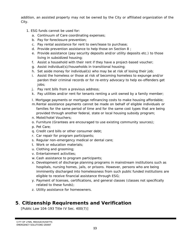addition, an assisted property may not be owned by the City or affiliated organization of the City.

- 1. ESG funds cannot be used for:
	- a. Continuum of Care coordinating expenses;
	- b. Pay for foreclosure prevention;
	- c. Pay rental assistance for rent to own/lease to purchase;
	- d. Provide prevention assistance to help those on Section 8 ;
	- e. Provide assistance (pay security deposits and/or utility deposits etc.) to those living in subsidized housing;
	- f. Assist a household with their rent if they have a project-based voucher;
	- g. Assist individual(s)/households in transitional housing;
	- h. Set aside money for individual(s) who may be at risk of losing their job;
	- i. Assist the homeless or those at risk of becoming homeless to expunge and/or pardon their criminal records or for re-entry advocacy to help ex-offenders get jobs;
	- j. Pay rent bills from a previous address;
	- k. Pay utilities and/or rent for tenants renting a unit owned by a family member;
	- I. Mortgage payments or mortgage refinancing costs to make housing affordable;
	- m.Rental assistance payments cannot be made on behalf of eligible individuals or families for the same period of time and for the same cost types that are being provided through another federal, state or local housing subsidy program;
	- n. Motel/hotel Vouchers;
	- o. Furniture (Grantees are encouraged to use existing community sources);
	- p. Pet Care;
	- q. Credit card bills or other consumer debt;
	- r. Car repair for program participants;
	- s. Regular non-emergency medical or dental care;
	- t. Work or education materials;
	- u. Clothing and grooming;
	- v. Entertainment activities;
	- w. Cash assistance to program participants;
	- x. Development of discharge planning programs in mainstream institutions such as hospitals, nursing homes, jails, or prisons. *However,* persons who are being imminently discharged into homelessness from such public funded institutions are eligible to receive financial assistance through ESG;
	- y. Payment of licenses, certifications, and general classes (classes not specifically related to these funds);
	- z. Utility assistance for homeowners.

# **5**. **Citizenship Requirements and Verification**

[Public Law 104-193 Title IV Sec. 400(7)]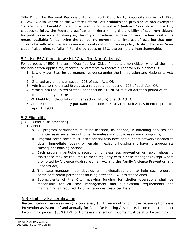Title IV of the Personal Responsibility and Work Opportunity Reconciliation Act of 1996 (PRWORA, also known as the Welfare Reform Act) prohibits the provision of non-exempted "federal public benefits" to a non-citizen, who is not a "Qualified Non-Citizen." The City chooses to follow the Federal classification in determining the eligibility of such non-citizens for public assistance. In doing so, the Cityis considered to have chosen the least restrictive means available for achieving the compelling governmental interest of assuring that noncitizens be self-reliant in accordance with national immigration policy. **Note:** The term "noncitizen" also refers to "alien." For the purposes of ESG, the terms are interchangeable.

# 5.1 Use ESG funds to assist "Qualified Non-Citizens"

For purposes of ESG, the term "Qualified Non-Citizen" means a non-citizen who, at the time the non-citizen applies for, receives, or attempts to receive a Federal public benefit is:

- 1. Lawfully admitted for permanent residence under the Immigration and Nationality Act; OR
- 2. Granted asylum under section 208 of such Act; OR
- 3. Admitted to the United States as a refugee under section 207 of such Act; OR
- 4. Paroled into the United States under section 212(d)(5) of such Act for a period of at least one (1) year; OR
- 5. Withheld from deportation under section 243(h) of such Act; OR
- 6. Granted conditional entry pursuant to section 203(a)(7) of such Act as in effect prior to April 1, 1980.

# 5.2 Eligibility

[24 CFR Part 5, as amended]

- 1. General
	- a. All program participants must be assisted, as needed, in obtaining services and financial assistance through other homeless and public assistance programs;
	- b. Program participants must lack financial resources and support networks needed to obtain immediate housing or remain in existing housing and have no appropriate subsequent housing options;
	- c. Each program participant receiving homelessness prevention or rapid rehousing assistance may be required to meet regularly with a case manager (except where prohibited by Violence Against Women Act and the Family Violence Prevention and Services Act),
	- d. The case manager must develop an individualized plan to help each program participant retain permanent housing after the ESG assistance ends.
	- e. Subrecipients of the City receiving funding for shelter operations shall be responsible for all case management and qualification requirements and maintaining all required documentation as described herein.

# 5.3 Eligibility Re-certification

Re-certification (re-assessment) occurs every (3) three months for those receiving Homeless Prevention assistance of and annually for Rapid Re-Housing Assistance. Income must be at or below thirty percent (30%) AMI for Homeless Prevention. Income must be at or below thirty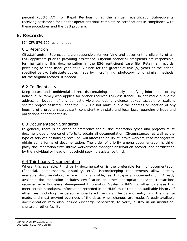percent (30%) AMI for Rapid Re-Housing at the annual recertification.Subrecipients receiving assistance for Shelter operations shall complete re-certifications in compliance with these procedures and the ESG program.

# **6. Records**

[24 CFR 576.500, as amended]

## 6.1 Retention

Citystaff and/or Subrecipentsare responsible for verifying and documenting eligibility of all ESG applicants prior to providing assistance. Citystaff and/or Subrecipients are responsible for maintaining this documentation in the ESG participant case file. Retain all records pertaining to each fiscal year of ESG funds for the greater of five (5) years or the period specified below. Substitute copies made by microfilming, photocopying, or similar methods for the original records, if needed.

# 6.2 Confidentiality

Keep secure and confidential all records containing personally identifying information of any individual or family who applies for and/or received ESG assistance. Do not make public the address or location of any domestic violence, dating violence, sexual assault, or stalking shelter project assisted under the ESG. Do not make public the address or location of any housing of a program participant, consistent with state and local laws regarding privacy and obligations of confidentiality.

# 6.3 Documentation Standards

In general, there is an order of preference for all documentation types and projects must document due diligence of efforts to obtain all documentation. Circumstances, as well as the type of services or housing received, will affect the ability of intake workers/case managers to obtain some forms of documentation. The order of priority among documentation is thirdparty documentation first, intake worker/case manager observation second, and certification by the individual or head of household seeking assistance third.

#### 6.4 Third-party Documentation

Where it is available, third party documentation is the preferable form of documentation (financial, homelessness, disability, etc.). Recordkeeping requirements allow already available documentation, where it is available, as third-party documentation. Already available documentation includes certification or other appropriate service transactions recorded in a Homeless Management Information System (HMIS) or other database that meet certain standards. Information recorded in an HMIS must retain an auditable history of all entries, including the person who entered the data; the date of entry, and the change made, and must prevent overrides of the dates when changes are made. Already available documentation may also include discharge paperwork, to verify a stay in an institution, shelter, or other facility.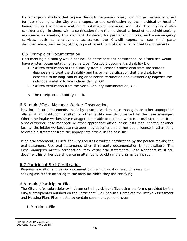For emergency shelters that require clients to be present every night to gain access to a bed for just that night, the City would expect to see certification by the individual or head of household as the primary method of establishing homeless eligibility. The Citywould also consider a sign-in sheet, with a certification from the individual or head of household seeking assistance, as meeting this standard. However, for permanent housing and nonemergency services, such as employment assistance, the Citywill expect to see third party documentation, such as pay stubs, copy of recent bank statements, or filed tax documents.

#### 6.5 Example of Documentation

Documenting a disability would not include participant self-certification, as disabilities would have written documentation of some type. You could document a disability by:

- 1. Written verification of the disability from a licensed professional from the state to diagnose and treat the disability and his or her certification that the disability is expected to be long-continuing or of indefinite duration and substantially impedes the individual's ability to live independently; OR
- 2. Written verification from the Social Security Administration; OR
- 3. The receipt of a disability check.

#### 6.6 Intake/Case Manager Worker Observation

May include oral statements made by a social worker, case manager, or other appropriate official at an institution, shelter, or other facility and documented by the case manager. Where the intake worker/case manager is not able to obtain a written or oral statement from a social worker, case manager, or other appropriate official at an institution, shelter, or other facility, the intake worker/case manager may document his or her due diligence in attempting to obtain a statement from the appropriate official in the case file.

If an oral statement is used, the City requires a written certification by the person making the oral statement. Use oral statements when third-party documentation is not available. The Case Manager's written certification, may verify oral statements. Case Managers must still document his or her due diligence in attempting to obtain the original verification.

#### 6.7 Participant Self-Certification

Requires a written and signed document by the individual or head of household seeking assistance attesting to the facts for which they are certifying.

#### 6.8 Intake/Participant File

The City and/or subrecipientwill document all participant files using the forms provided by the City/subrecipientas outlined on the Participant File Checklist. Complete the Intake Assessment and Housing Plan. Files must also contain case management notes.

#### 1. Participant File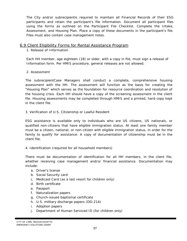The City and/or subrecipientis required to maintain all Financial Records of their ESG participants and retain the participant's file information. Document all participant files using the forms as outlined on the Participant File Checklist. Complete the Intake, Assessment, and Housing Plan. Place a copy of these documents in the participant's file. Files must also contain case management notes.

#### 6.9 Client Eligibility Forms for Rental Assistance Program

#### 1. Release of Information

Each HH member, age eighteen (18) or older, with a copy in file, must sign a release of Information form. Per HMIS procedure, general releases are not allowed.

#### 2. Assessment

The subrecipientCase Managers shall conduct a complete, comprehensive housing assessment with the HH. The assessment will function as the basis for creating the "Housing Plan" which serves as the foundation for resource coordination and resolution of the housing crisis. Each HH should have a copy of the screening assessment in the client file. Housing assessments may be completed through HMIS and a printed, hard-copy kept in the client file.

3. Verification of U.S. Citizenship or Lawful Resident

ESG assistance is available only to individuals who are US citizens, US nationals, or qualified non-citizens that have eligible immigration status. At least one family member must be a citizen, national, or non-citizen with eligible immigration status, in order for the family to qualify for assistance. A copy of documentation of citizenship must be in the client file.

4. Identification (required for all household members)

There must be documentation of identification for all HH members, in the client file, whether receiving case management and/or financial assistance. Documentation may include:

- a. Driver's license
- b. Social Security card
- c. Medicaid Card (as a last resort for children only)
- d. Birth certificate
- e. Passport
- f. Naturalization papers
- g. Church-issued baptismal certificate
- h. U.S. military discharge papers (DD-214)
- i. Adoption papers
- j. Department of Human Serviced ID (for children only)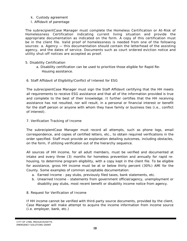- k. Custody agreement
- I. Affidavit of parentage

The subrecipientCase Manager must complete the Homeless Certification or At-Risk of Homelessness Certification indicating current living situation and provide the appropriate documentation as indicated on the form. A copy of this certification must be in the client file. Valid proof of homelessness is needed from one of the following sources: a. Agency — this documentation should contain the letterhead of the assisting agency, and the dates of service. Documents such as court ordered eviction notice and utility shut-off notices are accepted as proof.

#### 5. Disability Certification

- a. Disability certification can be used to prioritize those eligible for Rapid Re-Housing assistance.
- 6. Staff Affidavit of Eligibility/Conflict of Interest for ESG

The subrecipientCase Manager must sign the Staff Affidavit certifying that the HH meets all requirements to receive ESG assistance and that all of the information provided is true and complete to the best of their knowledge. It further certifies that the HH receiving assistance has not resulted, nor will result, in a personal or financial interest or benefit for the staff person or anyone with whom they have family or business ties (i.e., conflict of interest).

7. Verification Tracking of Income

The subrecipientCase Manager must record all attempts, such as phone logs, email correspondence, and copies of certified letters, etc., to obtain required verifications in the order specified. Staff must provide an explanation detailing outcomes, including obstacles, on the form, if utilizing verification out of the hierarchy sequence.

All sources of HH income, for all adult members, must be verified and documented at intake and every three (3) months for homeless prevention and annually for rapid rehousing, to determine program eligibility, with a copy kept in the client file. To be eligible for assistance, gross HH income must be at or below thirty percent (30%) AMI for the County. Some examples of common acceptable documentation:

- a. Earned Income pay stubs, previously filed taxes, bank statements, etc.
- b. Unearned Income statements from government official/agency, unemployment or disability pay stubs, most recent benefit or disability income notice from agency.
- 8. Request for Verification of Income

If HH income cannot be verified with third-party source documents, provided by the client, Case Manager will make attempt to acquire the income information from income source (i.e. employer, bank, etc.)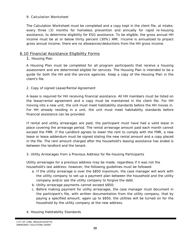#### 9. Calculation Worksheet

The Calculation Worksheet must be completed and a copy kept in the client file, at intake, every three (3) months for homeless prevention and annually for rapid re-housing assistance, to determine eligibility for ESG assistance. To be eligible, the gross annual HH income must be at or below thirty percent (30%) AMI. Income is annualized to project gross annual income; there are no allowances/deductions from the HH gross income.

#### 6.10 Financial Assistance Eligibility Forms

#### 1. Housing Plan

A Housing Plan must be completed for all program participants that receive a housing assessment and are determined eligible for services. The Housing Plan is intended to be a guide for both the HH and the service agencies. Keep a copy of the Housing Plan in the client's file.

#### 2. Copy of signed Lease/Rental Agreement

A lease is required for HH receiving financial assistance. All HH members must be listed on the lease/rental agreement and a copy must be maintained in the client file. For HH moving into a new unit, the unit must meet habitability standards before the HH moves in. For HH already residing in a unit, the unit must meet habitability standards before financial assistance can be provided.

If rental and utility arrearages are paid, the participant must have had a valid lease in place covering the arrearage period. The rental arrearage amount paid each month cannot exceed the FMR. If the Landlord agrees to lower the rent to comply with the FMR, a new lease or lease addendum must be signed stating the new rental amount and a copy placed in the file. The rent amount charged after the household's leasing assistance has ended is between the landlord and the tenant.

#### 3. Utility Arrearages from a Previous Address for Re-housing Participants

Utility arrearages for a previous address may be made, regardless if it was not the household's last address; however, the following guidelines must be followed:

- a. If the utility arrearage is over the \$850 maximum, the case manager will work with the utility company to set-up a payment plan between the household and the utility company and/or ask the utility company to forgive the debt.
- b. Utility arrearage payments cannot exceed \$850;
- c. Before making payment for utility arrearages, the case manager must document in the participant's file, with written documentation from the utility company, that by paying a specified amount, again up to \$850, the utilities will be turned on for the household by the utility company at the new address.
- 4. Housing Habitability Standards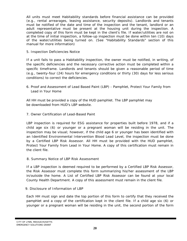All units must meet Habitability standards before financial assistance can be provided (e.g., rental arrearages, leasing assistance, security deposits). Landlords and tenants must be notified of the date and time of the inspection and the tenant, landlord or an adult representative must be present at the housing unit during the inspection. A completed copy of this form must be kept in the client's file. If water/utilities are not on at the time of initial inspection, a follow-up inspection must be done within ten (10) days of the water/utilities being turned on. (See "Habitability Standards" section of this manual for more information)

5. Inspection Deficiencies Notice

If a unit fails to pass a Habitability inspection, the owner must be notified, in writing, of the specific deficiencies and the necessary corrective action must be completed within a specific timeframe. Landlords and tenants should be given a reasonable period of time (e.g., twenty-four (24) hours for emergency conditions or thirty (30) days for less serious conditions) to correct the deficiencies.

6. Proof and Assessment of Lead Based Paint (LBP) - Pamphlet, *Protect Your Family from Lead in Your Home*

All HH must be provided a copy of the HUD pamphlet. The LBP pamphlet may be downloaded from HUD's LBP website.

7. Owner Certification of Lead-Based Paint

LBP inspection is required for ESG assistance for properties built before 1978, and if a child age six (6) or younger or a pregnant woman will be residing in the unit. The inspection may be visual; however, if the child age 6 or younger has been identified with an Identified Environmental Intervention Blood Lead Level, the inspection must be done by a Certified LBP Risk Assessor. All HH must be provided with the HUD pamphlet, Protect Your Family from Lead in Your Home. A copy of this certification must remain in the client file.

8. Summary Notice of LBP Risk Assessment

If a LBP inspection is deemed required to be performed by a Certified LBP Risk Assessor, the Risk Assessor must complete this form summarizing his/her assessment of the LBP in/outside the home. A List of Certified LBP Risk Assessor can be found at your local County Health Department. A copy of this assessment must remain in the client file.

9. Disclosure of Information of LBP

Each HH must sign and date the top portion of this form to certify that they received the pamphlet and a copy of the certification kept in the client file. If a child age six (6) or younger or a pregnant woman will be residing in the unit, the second portion of the form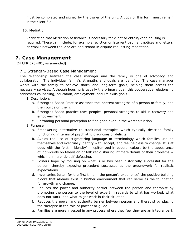must be completed and signed by the owner of the unit. A copy of this form must remain in the client file.

10. Mediation

Verification that Mediation assistance is necessary for client to obtain/keep housing is required. These can include, for example, eviction or late rent payment notices and letters or emails between the landlord and tenant in dispute requesting meditation.

# **7. Case Management**

[24 CFR 576-401, as amended]

#### 7.1 Strength-Based Case Management

The relationship between the case manager and the family is one of advocacy and collaboration. The individual family's strengths and goals are identified. The case manager works with the family to achieve short- and long-term goals, helping them access the necessary services. Although housing is usually the primary goal, this cooperative relationship addresses counseling, education, employment, and life skills goals.

- 1. Description:
	- a. Strengths-Based Practice assesses the inherent strengths of a person or family, and then builds on them.
	- b. Strengths-Based practice uses peoples' personal strengths to aid in recovery and empowerment.
	- c. Reframing personal perception to find good even in the worst situation.
- 2. Purpose:
	- a. Empowering alternative to traditional therapies which typically describe family functioning in terms of psychiatric diagnoses or deficits.
	- b. Avoids the use of stigmatizing language or terminology which families use on themselves and eventually identify with, accept, and feel helpless to change. It is at odds with the "victim identity" -- epitomized in popular culture by the appearance of individuals on television or talk radio sharing intimate details of their problems - which is inherently self-defeating.
	- c. Fosters hope by focusing on what is or has been historically successful for the person, thereby exposing precedent successes as the groundwork for realistic expectations.
	- d. Inventories (often for the first time in the person's experience) the positive building blocks that already exist in his/her environment that can serve as the foundation for growth and change.
	- e. Reduces the power and authority barrier between the person and therapist by promoting the person to the level of expert in regards to what has worked, what does not work, and what might work in their situation.
	- f. Reduces the power and authority barrier between person and therapist by placing the therapist in the role of partner or guide.
	- g. Families are more invested in any process where they feel they are an integral part.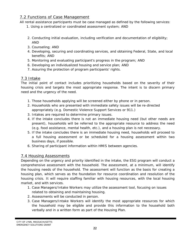# 7.2 Functions of Case Management

All rental assistance participants must be case managed as defined by the following services:

- 1. Using a centralized or coordinated assessment system; AND
- 2. Conducting initial evaluation, including verification and documentation of eligibility; AND
- 3. Counseling; AND
- 4. Developing, securing and coordinating services, and obtaining Federal, State, and local benefits; AND
- 5. Monitoring and evaluating participant's progress in the program; AND
- 6. Developing an individualized housing and service plan; AND
- 7. Assuring the protection of program participants' rights.

# 7.3 Intake

The initial point of contact includes prioritizing households based on the severity of their housing crisis and targets the most appropriate response. The intent is to discern primary need and the urgency of the need.

- 1. Those households applying will be screened either by phone or in person.
- 2. Households who are presented with immediate safety issues will be re-directed appropriately (e.g. Domestic Violence Support Services or 911.)
- 3. Intakes are required to determine primary issues.
- 4. If the intake concludes there is not an immediate housing need (but other needs are present), households will be referred to the appropriate resource to address the need (e.g. food assistance, mental health, etc.), and a housing plan is not necessary.
- 5. If the intake concludes there is an immediate housing need, households will proceed to a full housing assessment or be scheduled for a housing assessment within two business days, if possible.
- 6. Sharing of participant information within HMIS between agencies.

# 7.4 Housing Assessments

Depending on the urgency and priority identified in the intake, the ESG program will conduct a comprehensive assessment with the household. The assessment, at a minimum, will identify the housing needs of the household. The assessment will function as the basis for creating a housing plan, which serves as the foundation for resource coordination and resolution of the housing crisis. It will require staffing familiar with housing resources, with the local housing market, and with services.

- 1. Case Managers/Intake Workers may utilize the assessment tool, focusing on issues related to obtaining and maintaining housing.
- 2. Assessments will be conducted in person.
- 3. Case Managers/Intake Workers will identify the most appropriate resources for which the household may be eligible and provide this information to the household both verbally and in a written form as part of the Housing Plan.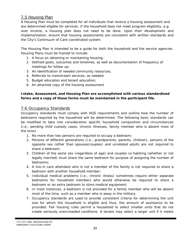# 7.5 Housing Plan

A Housing Plan must be completed for all individuals that receive a housing assessment and are determined eligible for services. If the household does not meet program eligibility, e.g. over income, a housing plan does not need to be done. Upon their development and implementation, ensure that housing assessments are consistent with written standards and the City's Continuum of Care coordinated system.

The Housing Plan is intended to be a guide for both the household and the service agencies. Housing Plans must be framed to include:

- 1. A focus on obtaining or maintaining housing;
- 2. Defined goals, outcomes and timelines, as well as documentation of frequency of meetings for follow-up;
- 3. An identification of needed community resources;
- 4. Referrals to mainstream services, as needed;
- 5. Budget education and tenant education;
- 6. An attached copy of the housing assessment

#### **Intake, Assessment, and Housing Plan are accomplished with various standardized forms and a copy of these forms must be maintained in the participant file.**

# 7.6 Occupancy Standards

Occupancy standards must comply with HQS requirements and outline how the number of bedrooms required by the household will be determined. The following basic standards can be modified to take into consideration specific household composition and circumstances (i.e., pending child custody cases, chronic illnesses, family member who is absent most of the time).

- 1. No more than two persons are required to occupy a bedroom;
- 2. Persons of different generations (i.e., grandparents, parents, children), persons of the opposite sex (other than spouses/couples) and unrelated adults are not required to share a bedroom;
- 3. Children of the same sex (regardless of age) and couples co-habiting (whether or not legally married) must share the same bedroom for purpose of assigning the number of bedrooms;
- 4. A live-in care attendant who is not a member of the family is not required to share a bedroom with another household member;
- 5. Individual medical problems (i.e., chronic illness) sometimes require either separate bedrooms for household members who would otherwise be required to share a bedroom or an extra bedroom to store medical equipment;
- 6. In most instances, a bedroom is not provided for a family member who will be absent most of the time, such as a member who is away in the military.
- 7. Occupancy standards are used to provide consistent criteria for determining the unit size for which the household is eligible and thus, the amount of assistance to be provided. Fair housing rules permit a household to select smaller units that do not create seriously overcrowded conditions. A tenant may select a larger unit if it meets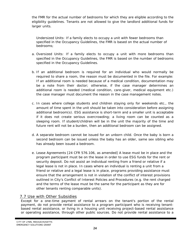the FMR for the actual number of bedrooms for which they are eligible according to the eligibility guidelines. Tenants are not allowed to give the landlord additional funds for larger units.

*Undersized Units:* If a family elects to occupy a unit with fewer bedrooms than specified in the Occupancy Guidelines, the FMR is based on the actual number of bedrooms;

- *a. Oversized Units:* If a family elects to occupy a unit with more bedrooms than specified in the Occupancy Guidelines, the FMR is based on the number of bedrooms specified in the Occupancy Guidelines.
- *b.* If an additional bedroom is required for an individual who would normally be required to share a room, the reason must be documented in the file. For example: If an additional room is needed because of a medical condition, documentation may be a note from their doctor; otherwise, if the case manager determines an additional room is needed (medical condition, care-giver, medical equipment etc.) the case manager must document the reason in the case management notes.
- *c.* In cases where college students and children staying only for weekends etc., the amount of time spent in the unit should be taken into consideration before assigning additional bedroom(s). ESG assistance is short-term and a smaller unit is acceptable if it does not create serious overcrowding; a living room can be counted as a sleeping room. If student/children will be in the unit the majority of the time and future rent will not be a burden, then an additional bedroom can be assigned.
- *d.* A separate bedroom cannot be issued for an unborn child. Once the baby is born a second bedroom can be issued unless the baby has an older, same sex sibling who has already been issued a bedroom.
- *e.* Lease Agreements [24 CFR 576.106, as amended] A lease must be in place and the program participant must be on the lease in order to use ESG funds for the rent or security deposit. Do not assist an individual renting from a friend or relative if a legal lease is not in place. In cases where an individual is renting a unit from a friend or relative and a legal lease is in place, programs providing assistance must ensure that the arrangement is not in violation of the conflict of interest provisions outlined in City's Conflict of Interest Policies and Procedures (e.g. the rent charged and the terms of the lease must be the same for the participant as they are for other tenants renting comparable units).

# 7.7 Use with Other Subsidies

Except for a one-time payment of rental arrears on the tenant's portion of the rental payment, do not provide rental assistance to a program participant who is receiving tenantbased rental assistance, or living in a housing unit receiving project-based rental assistance or operating assistance, through other public sources. Do not provide rental assistance to a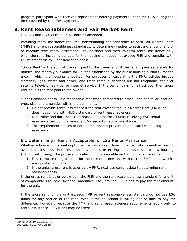program participant who receives replacement-housing payments under the URA during the time covered by the URA payments.

# **8. Rent Reasonableness and Fair Market Rent**

[24 CFR 888 & 24 CFR 982.507, both as amended]

Providing rental assistance requires understanding and adherence to both Fair Market Rents (FMRs) and rent reasonableness standards, to determine whether to assist a client with shortor medium-term rental assistance. Provide short-and medium-term rental assistance only when the rent, including utilities, for the housing unit does not exceed FMR and complies with HUD's standards for Rent Reasonableness.

"Gross Rent" is the sum of the rent paid to the owner and, if the tenant pays separately for utilities, the monthly allowance for utilities established by the public housing authority for the area in which the housing is located. For purposes of calculating the FMR, utilities include electricity, gas, water and sewer, and trash removal services but not telephone, cable or satellite television service, or internet service. If the owner pays for all utilities, then gross rent equals the rent paid to the owner.

"Rent Reasonableness" is a reasonable rent when compared to other units of similar location, type, size, and amenities within the community.

- 1. Do not provide rental assistance if the rent exceeds the Fair Market Rent (FMR), or does not comply with HUD's standard of rent reasonableness.
- 2. Determine and document rent reasonableness for all units receiving ESG rental assistance (including arrears) and/or security deposit assistance.
- 3. This requirement applies to both homelessness prevention and rapid re-housing assistance.

# 8.1 Determining if Rent is Acceptable for ESG Rental Assistance

Whether a household is seeking to maintain its current housing or relocate to another unit to avoid homelessness (Homelessness Prevention), or exiting homelessness into new housing (Rapid Re-Housing), the process for determining acceptable rent amounts is the same:

- 1. First compare the gross rent for the current or new unit with current FMR limits, which are updated annually.
- 2. If the units' gross rent is at or below FMR, next use current data to determine rent reasonableness.

If the gross rent is at or below both the FMR and the rent reasonableness standard for a unit of comparable size, type, location, amenities, etc., provide ESG funds to pay the rent amount for the unit.

If the gross rent for the unit exceeds FMR or rent reasonableness standard do not use ESG funds for any portion of the rent, even if the household is willing and/or able to pay the difference. However, because the FMR and rent reasonableness requirements apply only to rental assistance, ESG funds may be used: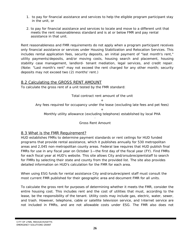- 1. to pay for financial assistance and services to help the eligible program participant stay in the unit, or
- 2. to pay for financial assistance and services to locate and move to a different unit that meets the rent reasonableness standard and is at or below FMR and pay rental assistance in that unit.

Rent reasonableness and FMR requirements do not apply when a program participant receives only financial assistance or services under Housing Stabilization and Relocation Services. This includes rental application fees, security deposits, an initial payment of "last month's rent," utility payments/deposits, and/or moving costs, housing search and placement, housing stability case management, landlord- tenant mediation, legal services, and credit repair. (Note: "Last month's rent" may not exceed the rent charged for any other month; security deposits may not exceed two (2) months' rent.)

#### 8.2 Calculating the GROSS RENT AMOUNT

To calculate the gross rent of a unit tested by the FMR standard:

Total contract rent amount of the unit

 $+$ Any fees required for occupancy under the lease (excluding late fees and pet fees)

 $+$ Monthly utility allowance (excluding telephone) established by local PHA

> - Gross Rent Amount

#### 8.3 What is the FMR Requirement?

HUD establishes FMRs to determine payment standards or rent ceilings for HUD funded programs that provide rental assistance, which it publishes annually for 530 metropolitan areas and 2,045 non-metropolitan county areas. Federal law requires that HUD publish final FMRs for use in any fiscal year on October 1—the first day of the fiscal year (FY). Find FMRs for each fiscal year at HUD's website. This site allows City and/orsubrecipientstaff to search for FMRs by selecting their state and county from the provided list. The site also provides detailed information on HUD's calculation for the FMR for each area.

When using ESG funds for rental assistance City and/orsubrecipient staff must consult the most current FMR published for their geographic area and document FMR for all units.

To calculate the gross rent for purposes of determining whether it meets the FMR, consider the entire housing cost. This includes rent and the cost of utilities that must, according to the lease, be the responsibility of the tenant. Utility costs may include gas, electric, water, sewer, and trash. However, telephone, cable or satellite television service, and Internet service are not included in FMRs, and are not allowable costs under ESG. The FMR also does not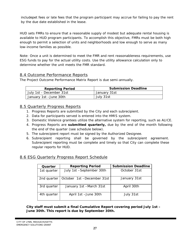includepet fees or late fees that the program participant may accrue for failing to pay the rent by the due date established in the lease.

HUD sets FMRs to ensure that a reasonable supply of modest but adequate rental housing is available to HUD program participants. To accomplish this objective, FMRs must be both high enough to permit a selection of units and neighborhoods and low enough to serve as many low-income families as possible.

Note: Once a unit is determined to meet the FMR and rent reasonableness requirements, use ESG funds to pay for the actual utility costs. Use the utility allowance calculation only to determine whether the unit meets the FMR standard.

# 8.4 Outcome Performance Reports

The Project Outcome Performance Matrix Report is due semi-annually.

| <b>Reporting Period</b>  | <b>Submission Deadline</b> |
|--------------------------|----------------------------|
| July 1st - December 31st | January 31st               |
| January 1st -June 30th   | July 31st                  |

# 8.5 Quarterly Progress Reports

- 1. Progress Reports are submitted by the City and each subrecipient.
- 2. Data for participants served is entered into the HMIS system.
- 3. Domestic Violence grantees utilize the alternative system for reporting, such as ALICE.
- 4. Progress Reports are **submitted quarterly,** due by the end of the month following the end of the quarter (see schedule below).
- 5. The subrecipient report must be signed by the Authorized Designee.
- 6. Subrecipient reporting shall be governed by the subrecipient agreement. Subrecipient reporting must be complete and timely so that City can complete these regular reports for HUD.

#### 8.6 ESG Quarterly Progress Report Schedule

| Quarter     | <b>Reporting Period</b>    | <b>Submission Deadline</b> |
|-------------|----------------------------|----------------------------|
| 1st quarter | July 1st -September 30th   | October 31st               |
| 2nd quarter | October 1st -December 31st | January 31st               |
| 3rd quarter | January 1st -March 31st    | April 30th                 |
| 4th quarter | April 1st - June 30th      | July 31st                  |

**City staff must submit a final Cumulative Report covering period July 1st – June 30th. This report is due by September 30th.**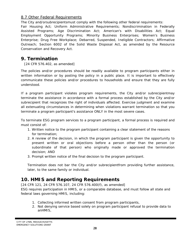# 8.7 Other Federal Requirements

The City and/orsubrecipientsmust comply with the following other federal requirements:

Fair Housing Act; Uniform Administrative Requirements; Nondiscrimination in Federally Assisted Programs; Age Discrimination Act; American's with Disabilities Act; Equal Employment Opportunity Programs; Minority Business Enterprises; Women's Business Enterprise; Drug Free Workplace; Debarred, Suspended, Ineligible Contractors; Affirmative Outreach; Section 6002 of the Solid Waste Disposal Act, as amended by the Resource Conservation and Recovery Act.

# **9. Termination**

[24 CFR 576.402, as amended]

The policies and/or procedures should be readily available to program participants either in written information or by posting the policy in a public place. It is important to effectively communicate these policies and/or procedures to households and ensure that they are fully understood.

If a program participant violates program requirements, the City and/or subrecipientmay terminate the assistance in accordance with a formal process established by the City and/or subrecipient that recognizes the right of individuals affected. Exercise judgment and examine all extenuating circumstances in determining when violations warrant termination so that you terminate a program participant's assistance ONLY in the most severe cases.

To terminate ESG program services to a program participant, a formal process is required and must consist of:

- 1. Written notice to the program participant containing a clear statement of the reasons for termination;
- 2. A review of the decision, in which the program participant is given the opportunity to present written or oral objections before a person other than the person (or subordinate of that person) who originally made or approved the termination decision; AND
- 3. Prompt written notice of the final decision to the program participant.

Termination does not bar the City and/or subrecipientfrom providing further assistance, later, to the same family or individual.

# **10. HMIS and Reporting Requirements**

[24 CFR 121, 24 CFR 576.107, 24 CFR 576.400(f), as amended]

ESG requires participation in HMIS, or a comparable database, and must follow all state and federal laws governing HMIS, including:

- 1. Collecting informed written consent from program participants,
- 2. Not denying service based solely on program participant refusal to provide data to anHMIS,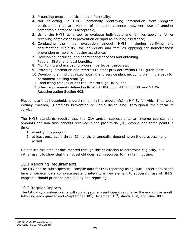- 3. Protecting program participant confidentiality,
- 4. Not collecting, in HMIS, personally identifying information from program participants that are victims of domestic violence; however, use of another comparable database is acceptable,
- 5. Using the HMIS as a tool to evaluate individuals and families applying for or receiving homelessness prevention or rapid re-housing assistance;
- 6. Conducting the initial evaluation through HMIS, including verifying and documenting eligibility, for individuals and families applying for homelessness prevention or rapid re-housing assistance;
- 7. Developing, securing, and coordinating services and obtaining Federal, State, and local benefits;
- 8. Monitoring and evaluating program participant progress;
- 9. Providing information and referrals to other providers within HMIS guidelines;
- 10.Developing an individualized housing and service plan, including planning a path to permanent housing stability;
- 11.Conducting re-evaluations required through HMIS, and
- 12.0ther requirements defined in RCW 43.185C.030, 43.185C.180, and VAWA Reauthorization Section 605.

Please note that households should remain in the program(s) in HMIS, for which they were initially enrolled, (Homeless Prevention or Rapid Re-housing) throughout their term of service.

The HMIS standards require that the City and/or subrecipiententer income sources and amounts and non-cash benefits received in the past thirty (30) days during three points in time:

- 1. at entry into program
- 2. at least once every three (3) months or annually, depending on the re-assessment period

Do not use this amount documented through this calculation to determine eligibility, but rather use it to show that the household does lack resources to maintain housing.

#### 10.1 Reporting Requirements

The City and/or subrecipientwill compile data for ESG reporting using HMIS. Enter data at the time of service, data completeness and integrity is key element to successful use of HMIS. Programs should prioritize data quality and reporting.

# 10.2 Regular Reports

The City and/or subrecipients will submit program participant reports by the end of the month following each quarter end  $-$ September  $30<sup>th</sup>$ , December  $31<sup>st</sup>$ , March 31st, and June 30th.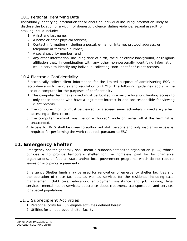# 10.3 Personal Identifying Data

Individually identifying information for or about an individual including information likely to disclose the location of a victim of domestic violence, dating violence, sexual assault, or stalking, could include:

- 1. A first and last name;
- 2. A home or other physical address;
- 3. Contact information (including a postal, e-mail or Internet protocol address, or telephone or facsimile number);
- 4. A social security number; and
- 5. Any other information, including date of birth, racial or ethnic background, or religious affiliation that, in combination with any other non-personally identifying information, would serve to identify any individual collecting "non-identified" client records.

# 10.4 Electronic Confidentiality

Electronically collect client information for the limited purpose of administering ESG in accordance with the rules and regulation on HMIS. The following guidelines apply to the use of a computer for the purposes of confidentiality:

- 1. The computer terminal(s) used must be located in a secure location, limiting access to only those persons who have a legitimate interest in and are responsible for viewing client records.
- 2. The computer monitor must be cleared, or a screen saver activated, immediately after accessing a client record.
- 3. The computer terminal must be on a "locked" mode or turned off if the terminal is unattended.
- 4. Access to HMIS shall be given to authorized staff persons and only insofar as access is required for performing the work required, pursuant to ESG.

# **11. Emergency Shelter**

Emergency shelter generally shall mean a subrecipientshelter organization (SSO) whose purpose is to provide temporary shelter for the homeless paid for by charitable organizations, or federal, state and/or local government programs, which do not require leases or occupancy agreements.

Emergency Shelter funds may be used for renovation of emergency shelter facilities and the operation of those facilities, as well as services for the residents, including case management, child care, education, employment assistance and job training, legal services, mental health services, substance about treatment, transportation and services for special populations.

# 11.1 Subrecipient Activities

- 1. Personnel costs for ESG eligible activities defined herein.
- 2. Utilities for an approved shelter facility.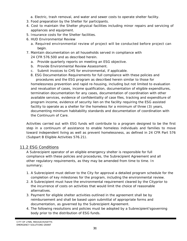- a. Electric, trash removal, and water and sewer costs to operate shelter facility.
- 3. Food preparation by the Shelter for participants.
- 4. Cost to maintain the Shelter physical facilities including minor repairs and servicing of appliances and equipment.
- 5. Insurance costs for the Shelter facilities.
- 6. HUD Environmental Review
	- a. Required environmental review of project will be conducted before project can begin.
- 7. Maintain documentation on all households served in compliance with 24 CFR 576.500 and as described herein.
	- a. Provide quarterly reports on meeting an ESG objective.
	- b. Provide Environmental Review Assessment.
	- c. Submit invoices to CHS for environmental, if applicable.
	- 8. ESG Documentation Requirements for full compliance with these policies and procedures and the ESG program as described herein similar to those for

homelessness prevention and rapid re-housing, including but not limited to evaluation and revaluation of cases, income qualification, documentation of eligible expenditures, termination documentation for any cases, documentation of coordination with other available services, evidence of confidentiality of case files, tracking and expenditure of program income, evidence of security lien on the facility requiring the ESG assisted facility to operate as a shelter for the homeless for a minimum of three (3) years, documenting minimum habitability standards and documentation of coordination with the Continuum of Care.

Activities carried out with ESG funds will contribute to a program designed to be the first step in a continuum of assistance to enable homeless individuals and families to move toward independent living as well as prevent homelessness, as defined in 24 CFR Part 576 (Subpart B Eligible Activities 576.21).

#### 11.2 ESG Conditions

A Subrecipient operator of an eligible emergency shelter is responsible for full compliance with these policies and procedures, the Subrecipient Agreement and all other regulatory requirements, as they may be amended from time to time. In summary;

- 1. A Subrecipient must deliver to the City for approval a detailed program schedule for the completion of key milestones for the program, including the environmental review.
- 2. A Subrecipient must have the environmental requirement cleared by the Cityprior to the incurrence of costs on activities that would limit the choice of reasonable alternatives.
- 3. Payment for eligible shelter activities outlined in the agreement shall be by reimbursement and shall be based upon submittal of appropriate forms and documentation, as governed by the Subrecipient Agreement.
- 4. The following resolutions and policies must be adopted by a Subrecipient'sgoverning body prior to the distribution of ESG funds.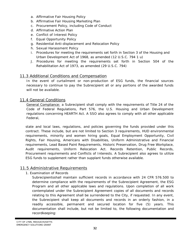- a. Affirmative Fair Housing Policy
- b. Affirmative Fair Housing Marketing Plan
- c. Procurement Policy, including Code of Conduct
- d. Affirmative Action Plan
- e. Conflict of Interest Policy
- f. Equal Opportunity Policy
- g. Residential Anti-displacement and Relocation Policy
- h. Sexual Harassment Policy
- i. Procedures for meeting the requirements set forth in Section 3 of the Housing and Urban Development Act of 1968, as amended (12 U.S.C. 794 1 u)
- J. Procedures for meeting the requirements set forth in Section 504 of the Rehabilitation Act of 1973, as amended (29 U.S.C. 794)

#### 11.3 Additional Conditions and Compensation

In the event of curtailment or non-production of ESG funds, the financial sources necessary to continue to pay the Subrecipient all or any portions of the awarded funds will not be available.

#### 11.4 General Conditions

General Compliance: a Subrecipient shall comply with the requirements of Title 24 of the Code of Federal Regulations, Part 576, the U.S. Housing and Urban Development regulations concerning HEARTH Act. A SSO also agrees to comply with all other applicable Federal,

state and local laws, regulations, and policies governing the funds provided under this contract. These include, but are not limited to Section 3 requirements, HUD environmental requirements, minority and women hiring goals, Equal Employment Opportunity, Civil Rights, Fair Housing, Americans with Disabilities, Uniform Administrative and Financial requirements, Lead Based Paint Requirements, Historic Preservation, Drug Free Workplace, Audit requirements, Uniform Relocation Act. Records Retention, Public Records, Procurement requirements and Conflicts of Interests. A Subrecipient also agrees to utilize ESG funds to supplement rather than supplant funds otherwise available.

#### 11.5 Administrative Requirements

1. Examination of Records

Subrecipientsshall maintain sufficient records in accordance with 24 CFR 576.500 to determine compliance with the requirements of the Subrecipient Agreement, the ESG Program and all other applicable laws and regulations. Upon completion of all work contemplated under the Subrecipient Agreement copies of all documents and records relating to this Agreement shall be surrendered to the City, if requested. In any event, the Subrecipient shall keep all documents and records in an orderly fashion, in a readily accessible, permanent and secured location for five (5) years. This documentation shall include, but not be limited to, the following documentation and recordkeeping: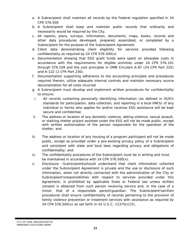- a. A Subrecipient shall maintain all records by the Federal regulation specified in 24 CFR 576.500
- b. A Subrecipient shall keep and maintain public records that ordinarily and necessarily would be required by the City.
- c. All reports, plans, surveys, information, documents, maps, books, records and other data procedures developed, prepared, assembled, or completed by a Subrecipient for the purpose of the Subrecipient Agreement
- d. Client data demonstrating client eligibility for services provided following confidentiality as required by 24 CFR 576.500(x)
- e. Documentation showing that ESG grant funds were spent on allowable costs in accordance with the requirements for eligible activities under 24 CFR 576.101 through 576.109 and the cost principles in OMB Circulars A-87 (24 CFR Part 225) and A-122 (2 CFR Part 230).
- f. Documentation supporting adherence to the accounting principles and procedures required therein, utilize adequate internal controls and maintain necessary source documentation for all costs incurred
- g. A Subrecipient must develop and implement written procedures for confidentiality to ensure:
- i. All records containing personally identifying information (as defined in HUD's standards for participation, data collection, and reporting in a local HMIS) of any individual or family who applies for and/or receives ESG assistance will be kept secure and confidential;
- ii. The address or location of any domestic violence, dating violence, sexual assault, or stalking shelter project assisted under the ESG will not be made public, except with written authorization of the person responsible for the operation of the shelter; and
- iii. The address or location of any housing of a program participant will not be made public, except as provided under a pre-existing privacy policy of a Subrecipient and consistent with state and local laws regarding privacy and obligations of confidentiality; and
- iv. The confidentiality procedures of the Subrecipient must be in writing and must be maintained in accordance with 24 CFR 576.500(x).
- v. Disclosure –Subrecipientsshould understand that client information collected under the Subrecipient Agreement is private and the use or disclosure of such information, when not directly connected with the administration of the City or Subrecipient'sresponsibilities with respect to services provided under this Agreement, is prohibited by applicable State or Federal law unless written consent is obtained from such person receiving service and, in the case of a minor, that of a responsible parent/guardian. The Subrecipient'swritten procedures shall ensure confidentiality of records pertaining to the provision of family violence prevention or treatment services with assistance as required by 24 CFR 576.500(x) as set forth in 42 U.S.C. 11375(c)(5).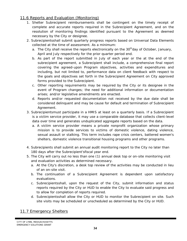# 11.6 Reports and Evaluation (Monitoring)

- 1. Shelter Subrecipient reimbursements shall be contingent on the timely receipt of complete and accurate reports required in the Subrecipient Agreement, and on the resolution of monitoring findings identified pursuant to the Agreement as deemed necessary by the City or designee.
- 2. Subrecipientsshall submit quarterly progress reports based on Universal Data Elements collected at the time of assessment. As a minimum:
	- a. The City shall receive the reports electronically on the  $30<sup>th</sup>$ day of October, January, April and July respectively for the prior quarter period end.
	- b. As part of the report submitted in July of each year or the at the end of the subrecipient agreement, a Subrecipient shall include, a comprehensive final report covering the agreed-upon Program objectives, activities and expenditures and including, but not limited to, performance data on client feedback with respect to the goals and objectives set forth in the Subrecipient Agreement on City approved forms provided to the Subrecipient.
	- c. Other reporting requirements may be required by the City or its designee in the event of Program changes; the need for additional information or documentation arises; and/or legislative amendments are enacted.
	- d. Reports and/or requested documentation not received by the due date shall be considered delinquent and may be cause for default and termination of Subrecipient Agreement.
- 3. Subrecipientsmust participate in a HMIS at least on a quarterly basis. If a Subrecipient is a victim service provider, it may use a comparable database that collects client-level data over time and generates unduplicated aggregate reports based on the data.
	- a. A victim service provider means a private nonprofit organization whose primary mission is to provide services to victims of domestic violence, dating violence, sexual assault or stalking. This term includes rape crisis centers, battered women's shelters, domestic violence transitional housing programs and other programs.
- 4. Subrecipients shall submit an annual audit monitoring report to the City no later than 180 days after the Subrecipient'sfiscal year end.
- 5. The City will carry out no less than one (1) annual desk top or on-site monitoring visit and evaluation activities as determined necessary.
	- a. At the City's discretion, a desk top review of the activities may be conducted in lieu of an on-site visit.
	- b. The continuation of a Subrecipient Agreement is dependent upon satisfactory evaluations.
	- c. Subrecipientsshall, upon the request of the City, submit information and status reports required by the City or HUD to enable the City to evaluate said progress and to allow for completion of reports required.
	- d. Subrecipientsshall allow the City or HUD to monitor the Subrecipient on site. Such site visits may be scheduled or unscheduled as determined by the City or HUD.

# 11.7 Emergency Shelters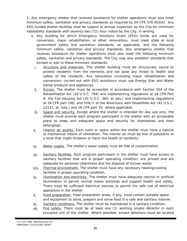1. Any emergency shelter that receives assistance for shelter operations must also meet minimum safety, sanitation and privacy standards as required by 24 CFR 576.403(b). Any ESG funded shelter facilities shall be subject to annual inspection by the City for minimum habitability standards with seventy-two (72) hour notice by the City, in writing.

- a. Any building for which Emergency Solutions Grant (ESG) funds are used for conversion, major rehabilitation, or other renovations, must meet state or local government safety and sanitation standards, as applicable, and the following minimum safety, sanitation and privacy standards. Any emergency shelter that receives assistance for shelter operations must also meet the following minimum safety, sanitation and privacy standards. The City may also establish standards that exceed or add to these minimum standards:
	- *i. Structure and materials.* The shelter building must be structurally sound to protect residents from the elements and not pose any threat to health and safety of the residents. Any renovation (including major rehabilitation and conversion) carried out with ESG assistance must use Energy Star and Water Sense products and appliances.
	- *ii. Access.* The shelter must be accessible in accordance with Section 504 of the Rehabilitation Act (29 U.S.C. 794) and implementing regulations at 24 CFR Part 8; the Fair Housing Act (42 U.S.C. 360, et seq.) and implementing regulations at 24 CFR part 100; and Title II of the Americans with Disabilities Act (42 U.S.C. 12131, et. Seq.) and 28 CFR part 35; where applicable.
	- *iii. Space and security.* Except where the shelter is intended for day use only, the shelter must provide each program participant in the shelter with an acceptable place to sleep and adequate space and security for themselves and their belongings.
	- *v. Interior air quality.* Each room or space within the shelter must have a natural or mechanical means of ventilation. The interior air must be free of pollutants at a level that might threaten or harm the health of residents.
	- *vi. Water supply.* The shelter's water supply must be free of contamination.
	- *vii. Sanitary facilities.* Each program participant in the shelter must have access to sanitary facilities that are in proper operating condition, are private and are adequate for personal cleanliness and the disposal of human waste.
	- *viii. Thermal environment.* The shelter must have any necessary heating/cooling facilities in proper operating condition.
	- *ix. Illumination and electricity.* The shelter must have adequate natural or artificial illumination to permit normal indoor activities and support health and safety. There must be sufficient electrical sources to permit the safe use of electrical appliances in the shelter.
	- *x. Food preparation.* Food preparation areas, if any, must contain suitable space and equipment to store, prepare and serve food in a safe and sanitary manner.
	- *xi. Sanitary conditions.* The shelter must be maintained in a sanitary condition.
	- *xii. Fire safety.* There must be at least one (1) working smoke detector in each occupied unit of the shelter. Where possible, smoke detectors must be located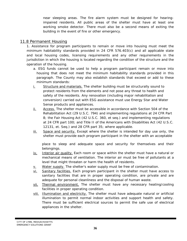near sleeping areas. The fire alarm system must be designed for hearingimpaired residents. All public areas of the shelter must have at least one working smoke detector. There must also be a second means of exiting the building in the event of fire or other emergency.

#### 11.8 Permanent Housing

1. Assistance for program participants to remain or move into housing must meet the minimum habitability standards provided in 24 CFR 576.403(c) and all applicable state and local housing codes, licensing requirements and any other requirements in the jurisdiction in which the housing is located regarding the condition of the structure and the operation of the housing.

- a. ESG funds cannot be used to help a program participant remain or move into housing that does not meet the minimum habitability standards provided in this paragraph. The County may also establish standards that exceed or add to these minimum standards:
- *i. Structure and materials.* The shelter building must be structurally sound to protect residents from the elements and not pose any threat to health and safety of the residents. Any renovation (including major rehabilitation and conversion) carried out with ESG assistance must use Energy Star and Water Sense products and appliances.
- *ii. Access.* The shelter must be accessible in accordance with Section 504 of the Rehabilitation Act (29 U.S.C. 794) and implementing regulations at 24 CFR Part 8; the Fair Housing Act (42 U.S.C. 360, et seq.) and implementing regulations at 24 CFR part 100; and Title II of the Americans with Disabilities Act (42 U.S.C. 12131, et. Seq.) and 28 CFR part 35; where applicable.
- *iii. Space and security.* Except where the shelter is intended for day use only, the shelter must provide each program participant in the shelter with an acceptable

place to sleep and adequate space and security for themselves and their belongings.

- *iv. Interior air quality.* Each room or space within the shelter must have a natural or mechanical means of ventilation. The interior air must be free of pollutants at a level that might threaten or harm the health of residents.
- *v. Water supply.* The shelter's water supply must be free of contamination.
- *vi. Sanitary facilities.* Each program participant in the shelter must have access to sanitary facilities that are in proper operating condition, are private and are adequate for personal cleanliness and the disposal of human waste.
- *vii. Thermal environment.* The shelter must have any necessary heating/cooling facilities in proper operating condition.
- *viii. Illumination and electricity.* The shelter must have adequate natural or artificial illumination to permit normal indoor activities and support health and safety. There must be sufficient electrical sources to permit the safe use of electrical appliances in the shelter.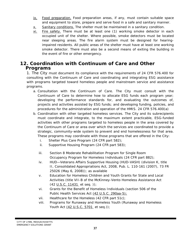- *ix. Food preparation.* Food preparation areas, if any, must contain suitable space and equipment to store, prepare and serve food in a safe and sanitary manner.
- *x. Sanitary conditions.* The shelter must be maintained in a sanitary condition.
- *xi. Fire safety.* There must be at least one (1) working smoke detector in each occupied unit of the shelter. Where possible, smoke detectors must be located near sleeping areas. The fire alarm system must be designed for hearingimpaired residents. All public areas of the shelter must have at least one working smoke detector. There must also be a second means of exiting the building in the event of fire or other emergency.

# **12. Coordination with Continuum of Care and Other Programs**

1. The City must document its compliance with the requirements of 24 CFR 576.400 for consulting with the Continuum of Care and coordinating and integrating ESG assistance with programs targeted toward homeless people and mainstream service and assistance programs.

- *a. Consultation with the Continuum of Care. The City* must consult with the Continuum of Care to determine how to allocate ESG funds each program year; developing the performance standards for, and evaluating the outcomes of, projects and activities assisted by ESG funds; and developing funding, policies, and procedures for the administration and operation of the HMIS. 24 CFR 576.400(a)
- *b. Coordination with other targeted homeless services. The City* and its subrecipients must coordinate and integrate, to the maximum extent practicable, ESG-funded activities with other programs targeted to homeless people in the area covered by the Continuum of Care or area over which the services are coordinated to provide a strategic, community-wide system to prevent and end homelessness for that area. These programs may coordinate with those programs that are offered in the City:
	- i. Shelter Plus Care Program (24 CFR part 582);
	- ii. Supportive Housing Program (24 CFR part 583);
	- iii. Section 8 Moderate Rehabilitation Program for Single Room Occupancy Program for Homeless Individuals (24 CFR part 882);
	- iv. HUD—Veterans Affairs Supportive Housing (HUD-VASH) (division K, title II, Consolidated Appropriations Act, 2008, Pub. L. 110-161 (2007), 73 FR 25026 (May 6, 2008)); as available
	- v. Education for Homeless Children and Youth Grants for State and Local Activities (title VII-B of the McKinney-Vento Homeless Assistance Act (42 U.S.C. 11431 *et seq. ));*
	- vi. Grants for the Benefit of Homeless Individuals (section 506 of the Public Health Services Act (42 U.S.C. 290aa-5);
	- vii. Healthcare for the Homeless (42 CFR part 51c);
	- viii. Programs for Runaway and Homeless Youth (Runaway and Homeless Youth Act (42 U.S.C. 5701 *et seq.));*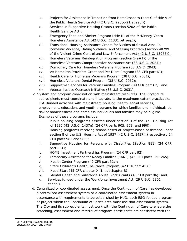- ix. Projects for Assistance in Transition from Homelessness (part C of title V of the Public Health Service Act (42 U.S.C. 290cc-21 *et seq.));*
- x. Services in Supportive Housing Grants (section 520A of the Public Health Service Act);
- xi. Emergency Food and Shelter Program (title III of the McKinney-Vento Homeless Assistance Act (42 U.S.C. 11331 *et seq.));*
- xii. Transitional Housing Assistance Grants for Victims of Sexual Assault, Domestic Violence, Dating Violence, and Stalking Program (section 40299 of the Violent Crime Control and Law Enforcement Act (42 U.S.C. 13975));
- xiii. Homeless Veterans Reintegration Program (section 5(a)(1)) of the Homeless Veterans Comprehensive Assistance Act (38 U.S.C. 2021);
- xiv. Domiciliary Care for Homeless Veterans Program (38 U.S.C. 2043);
- xv. VA Homeless Providers Grant and Per Diem Program (38 CFR part 61);
- xvi. Health Care for Homeless Veterans Program (38 U.S.C. 2031);
- xvii. Homeless Veterans Dental Program (38 U.S.C. 2062);
- xviii. Supportive Services for Veteran Families Program (38 CFR part 62); and xix. Veteran Justice Outreach Initiative (38 U.S.C. 2031).
- c. *System and program coordination with mainstream resources. The City*and its subrecipients must coordinate and integrate, to the maximum extent practicable, ESG-funded activities with mainstream housing, health, social services, employment, education, and youth programs for which families and individuals at risk of homelessness and homeless individuals and families may be eligible. Examples of these programs include:
	- i. Public housing programs assisted under section 9 of the U.S. Housing Act of 1937 (42 U.S.C. 1437g) (24 CFR parts 905, 968, and 990);
	- ii. Housing programs receiving tenant-based or project-based assistance under section 8 of the U.S. Housing Act of 1937 (42 U.S.C. 1437f) (respectively 24 CFR parts 982 and 983);
	- iii. Supportive Housing for Persons with Disabilities (Section 811) (24 CFR part 891);
	- iv. HOME Investment Partnerships Program (24 CFR part 92);
	- v. Temporary Assistance for Needy Families (TANF) (45 CFR parts 260-265);
	- vi. Health Center Program (42 CFR part 51c);
	- vii. State Children's Health Insurance Program (42 CFR part 457):
	- viii. Head Start (45 CFR chapter XIII, subchapter B);
	- ix. Mental Health and Substance Abuse Block Grants (45 CFR part 96); and
	- x. Services funded under the Workforce Investment Act (29 U.S.C. 2801 *et seq.)*
- *d. Centralized or coordinated assessment.* Once the Continuum of Care has developed a centralized assessment system or a coordinated assessment system in accordance with requirements to be established by HUD, each ESG-funded program or project within the Continuum of Care's area must use that assessment system. The City and its subrecipients must work with the Continuum of Care to ensure the screening, assessment and referral of program participants are consistent with the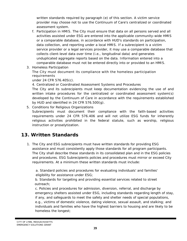written standards required by paragraph (e) of this section. A victim service provider may choose not to use the Continuum of Care's centralized or coordinated assessment system.

- *f. Participation in HMIS. The City* must ensure that data on all persons served and all activities assisted under ESG are entered into the applicable community-wide HMIS or a comparable database, in accordance with HUD's standards on participation, data collection, and reporting under a local HMIS. If a subrecipient is a victim service provider or a legal services provider, it may use a comparable database that collects client-level data over time *(i.e.,* longitudinal data) and generates unduplicated aggregate reports based on the data. Information entered into a comparable database must not be entered directly into or provided to an HMIS.
- 3. Homeless Participation

The City must document its compliance with the homeless participation requirements

under 24 CFR 576.405(c).

4. Centralized or Coordinated Assessment Systems and Procedures

The City and its subrecipients must keep documentation evidencing the use of and written intake procedures for the centralized or coordinated assessment system(s) developed by the Continuum of Care in accordance with the requirements established by HUD and identified in 24 CFR 576.500(g).

5. Conditions for Religious Organizations

Subrecipients must document their compliance with the faith-based activities requirements under 24 CFR 576.406 and will not utilize ESG funds for inherently religious activities prohibited in the federal statute, such as worship, religious instruction or proselytization.

# **13. Written Standards**

1. The City and ESG subrecipients must have written standards for providing ESG assistance and must consistently apply those standards for all program participants. The City shall describe these standards in its consolidated plan and in the ESG policies and procedures. ESG Subrecipients policies and procedures must mirror or exceed City requirements. At a minimum these written standards must include:

a. Standard policies and procedures for evaluating individuals' and families' eligibility for assistance under ESG;

b. Standards for targeting and providing essential services related to street outreach;

c. Policies and procedures for admission, diversion, referral, and discharge by emergency shelters assisted under ESG, including standards regarding length of stay, if any, and safeguards to meet the safety and shelter needs of special populations, *e.g.,* victims of domestic violence, dating violence, sexual assault, and stalking; and individuals and families who have the highest barriers to housing and are likely to be homeless the longest;